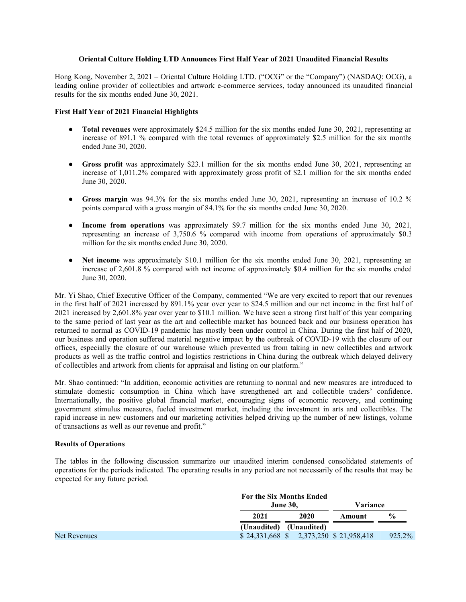# **Oriental Culture Holding LTD Announces First Half Year of 2021 Unaudited Financial Results**

Hong Kong, November 2, 2021 – Oriental Culture Holding LTD. ("OCG" or the "Company") (NASDAQ: OCG), a leading online provider of collectibles and artwork e-commerce services, today announced its unaudited financial results for the six months ended June 30, 2021.

#### **First Half Year of 2021 Financial Highlights**

- **Total revenues** were approximately \$24.5 million for the six months ended June 30, 2021, representing an increase of 891.1 % compared with the total revenues of approximately \$2.5 million for the six months ended June 30, 2020.
- **Gross profit** was approximately \$23.1 million for the six months ended June 30, 2021, representing an increase of 1,011.2% compared with approximately gross profit of \$2.1 million for the six months ended June 30, 2020.
- **Gross margin** was 94.3% for the six months ended June 30, 2021, representing an increase of 10.2 % points compared with a gross margin of 84.1% for the six months ended June 30, 2020.
- **Income from operations** was approximately \$9.7 million for the six months ended June 30, 2021, representing an increase of 3,750.6 % compared with income from operations of approximately \$0.3 million for the six months ended June 30, 2020.
- Net **income** was approximately \$10.1 million for the six months ended June 30, 2021, representing an increase of 2,601.8 % compared with net income of approximately \$0.4 million for the six months ended June 30, 2020.

Mr. Yi Shao, Chief Executive Officer of the Company, commented "We are very excited to report that our revenues in the first half of 2021 increased by 891.1% year over year to \$24.5 million and our net income in the first half of 2021 increased by 2,601.8% year over year to \$10.1 million. We have seen a strong first half of this year comparing to the same period of last year as the art and collectible market has bounced back and our business operation has returned to normal as COVID-19 pandemic has mostly been under control in China. During the first half of 2020, our business and operation suffered material negative impact by the outbreak of COVID-19 with the closure of our offices, especially the closure of our warehouse which prevented us from taking in new collectibles and artwork products as well as the traffic controland logistics restrictions in China during the outbreak which delayed delivery of collectibles and artwork from clients for appraisal and listing on our platform."

Mr. Shao continued: "In addition, economic activities are returning to normal and new measures are introduced to stimulate domestic consumption in China which have strengthened art and collectible traders' confidence. Internationally, the positive global financial market, encouraging signs of economic recovery, and continuing government stimulus measures, fueled investment market, including the investment in arts and collectibles. The rapid increase in new customers and our marketing activities helped driving up the number of new listings, volume of transactions as well as our revenue and profit."

# **Results** of Operations

The tables in the following discussion summarize our unaudited interim condensed consolidated statements of operations for the periods indicated. The operating results in any period are not necessarily of the results that may be expected for any future period.

|                     |                                          | For the Six Months Ended |        |               |  |
|---------------------|------------------------------------------|--------------------------|--------|---------------|--|
|                     |                                          | <b>June 30.</b>          |        | Variance      |  |
|                     | 2021                                     | 2020                     | Amount | $\frac{6}{9}$ |  |
|                     | (Unaudited)                              | (Unaudited)              |        |               |  |
| <b>Net Revenues</b> | $$24,331,668$ $$2,373,250$ $$21,958,418$ |                          |        | 925.2%        |  |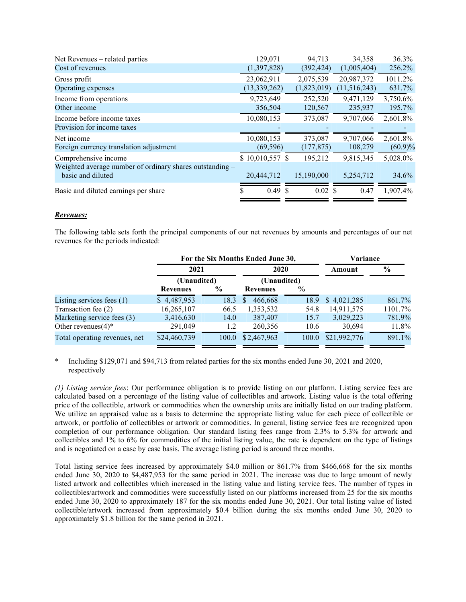| Net Revenues – related parties                                                | 129,071          | 94.713             | 34,358       | 36.3%      |
|-------------------------------------------------------------------------------|------------------|--------------------|--------------|------------|
| Cost of revenues                                                              | (1,397,828)      | (392, 424)         | (1,005,404)  | 256.2%     |
| Gross profit                                                                  | 23,062,911       | 2,075,539          | 20,987,372   | 1011.2%    |
| Operating expenses                                                            | (13, 339, 262)   | (1,823,019)        | (11,516,243) | 631.7%     |
| Income from operations                                                        | 9,723,649        | 252,520            | 9,471,129    | 3,750.6%   |
| Other income                                                                  | 356,504          | 120,567            | 235,937      | 195.7%     |
| Income before income taxes                                                    | 10,080,153       | 373,087            | 9,707,066    | 2,601.8%   |
| Provision for income taxes                                                    |                  |                    |              |            |
| Net income                                                                    | 10,080,153       | 373,087            | 9,707,066    | 2,601.8%   |
| Foreign currency translation adjustment                                       | (69, 596)        | (177, 875)         | 108,279      | $(60.9)\%$ |
| Comprehensive income                                                          | $$10,010,557$ \$ | 195,212            | 9,815,345    | 5,028.0%   |
| Weighted average number of ordinary shares outstanding –<br>basic and diluted | 20,444,712       | 15,190,000         | 5,254,712    | 34.6%      |
| Basic and diluted earnings per share                                          | 0.49 S           | $0.02 \text{ }$ \$ | 0.47         | 907.4%     |

# *Revenues:*

The following table sets forth the principal components of our net revenues by amounts and percentages of our net revenues for the periods indicated:

|                               |                     | For the Six Months Ended June 30, |                     | Variance      |              |               |
|-------------------------------|---------------------|-----------------------------------|---------------------|---------------|--------------|---------------|
|                               | 2021<br>(Unaudited) |                                   | 2020<br>(Unaudited) |               | Amount       | $\frac{6}{9}$ |
|                               |                     |                                   |                     |               |              |               |
|                               | <b>Revenues</b>     | $\frac{6}{9}$                     | <b>Revenues</b>     | $\frac{6}{9}$ |              |               |
| Listing services fees $(1)$   | \$4,487,953         | 18.3                              | 466,668<br>-S       | 18.9          | \$4,021,285  | 861.7%        |
| Transaction fee (2)           | 16,265,107          | 66.5                              | 353,532             | 54.8          | 14,911,575   | 1101.7%       |
| Marketing service fees (3)    | 3,416,630           | 14.0                              | 387,407             | 15.7          | 3,029,223    | 781.9%        |
| Other revenues $(4)^*$        | 291,049             | 1.2                               | 260,356             | 10.6          | 30.694       | 11.8%         |
| Total operating revenues, net | \$24,460,739        | 100.0                             | \$2,467,963         | 100.0         | \$21,992,776 | 891.1%        |
|                               |                     |                                   |                     |               |              |               |

Including \$129,071 and \$94,713 from related parties for the six months ended June 30, 2021 and 2020, respectively

*(1) Listing service fees*: Our performance obligation is to provide listing on our platform. Listing service fees are calculated based on a percentage of the listing value of collectibles and artwork. Listing value is the total offering price of the collectible, artwork or commodities when the ownership units are initially listed on our trading platform. We utilize an appraised value as a basis to determine the appropriate listing value for each piece of collectible or artwork, or portfolio of collectibles or artwork or commodities. In general, listing service fees are recognized upon completion of our performance obligation. Our standard listing fees range from 2.3% to 5.3% for artwork and collectibles and  $1\%$  to 6% for commodities of the initial listing value, the rate is dependent on the type of listings and is negotiated on a case by case basis. The average listing period is around three months.

Total listing service fees increased by approximately \$4.0 million or 861.7% from \$466,668 for the six months ended June 30, 2020 to \$4,487,953 for the same period in 2021. The increase was due to large amount of newly listed artwork and collectibles which increased in the listing value and listing service fees. The number of types in collectibles/artwork and commodities were successfully listed on our platforms increased from 25 for the six months ended June 30, 2020 to approximately 187 for the six months ended June 30, 2021. Our total listing value of listed collectible/artwork increased from approximately \$0.4 billion during the six months ended June 30, 2020 to approximately \$1.8 billion for the same period in 2021.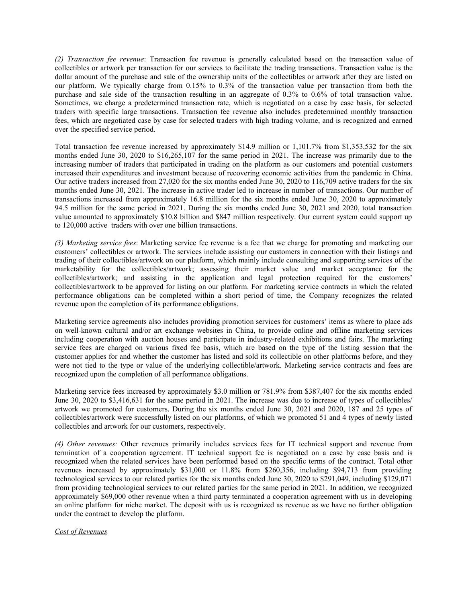*(2) Transaction fee revenue*: Transaction fee revenue is generally calculated based on the transaction value of collectibles or artwork per transaction for our services to facilitate the trading transactions. Transaction value is the dollar amount of the purchase and sale of the ownership units of the collectibles or artwork after they are listed on our platform. We typically charge from 0.15% to 0.3% of the transaction value per transaction from both the purchase and sale side of the transaction resulting in an aggregate of 0.3% to 0.6% of total transaction value. Sometimes, we charge a predetermined transaction rate, which is negotiated on a case by case basis, for selected traders with specific large transactions. Transaction fee revenue also includes predetermined monthly transaction fees, which are negotiated case by case for selected traders with high trading volume, and is recognized and earned over the specified service period.

Total transaction fee revenue increased by approximately \$14.9 million or 1,101.7% from \$1,353,532 for the six months ended June 30, 2020 to \$16,265,107 for the same period in 2021. The increase was primarily due to the increasing number of traders that participated in trading on the platform as our customers and potential customers increased their expenditures and investment because of recovering economic activities from the pandemic in China. Our active traders increased from 27,020 for the six months ended June 30, 2020 to 116,709 active traders for the six months ended June 30, 2021. The increase in active trader led to increase in number of transactions. Our number of transactions increased from approximately 16.8 million for the six months ended June 30, 2020 to approximately 94.5 million for the same period in 2021. During the six months ended June 30, 2021 and 2020, total transaction value amounted to approximately \$10.8 billion and \$847 million respectively. Our current system could support up to 120,000 active traders with over one billion transactions.

*(3) Marketing service fees*: Marketing service fee revenue isa fee that we charge for promoting and marketing our customers' collectibles orartwork. The services include assisting our customers in connection with their listings and trading of their collectibles/artwork on our platform, which mainly include consulting and supporting services of the marketability for the collectibles/artwork; assessing their market value and market acceptance for the collectibles/artwork; and assisting in the application and legal protection required for the customers' collectibles/artwork to be approved for listing on our platform. For marketing service contracts in which the related performance obligations can be completed within a short period of time, the Company recognizes the related revenue upon the completion of its performance obligations.

Marketing service agreements also includes providing promotion services for customers' items as where to place ads on well-known cultural and/or art exchange websites in China, to provide online and offline marketing services including cooperation with auction houses and participate in industry-related exhibitions and fairs. The marketing service fees are charged on various fixed fee basis, which are based on the type of the listing session that the customer applies for and whether the customer has listed and sold its collectible on other platforms before, and they were not tied to the type or value of the underlying collectible/artwork. Marketing service contracts and fees are recognized upon the completion of all performance obligations.

Marketing service fees increased by approximately \$3.0 million or 781.9% from \$387,407 for the six months ended June 30, 2020 to \$3,416,631 for the same period in 2021. The increase was due to increase of types of collectibles/ artwork we promoted for customers. During the six months ended June 30, 2021 and 2020, 187 and 25 types of collectibles/artwork were successfully listed on our platforms, of which we promoted 51 and 4 types of newly listed collectibles and artwork for our customers, respectively.

*(4) Other revenues:* Other revenues primarily includes services fees for IT technical support and revenue from termination of a cooperation agreement. IT technical support fee is negotiated on a case by case basis and is recognized when the related services have been performed based on the specific terms of the contract. Total other revenues increased by approximately \$31,000 or 11.8% from \$260,356, including \$94,713 from providing technological services to our related parties for the six months ended June 30, 2020 to \$291,049, including \$129,071 from providing technological services to our related parties for the same period in 2021. In addition, we recognized approximately \$69,000 other revenue when a third party terminated a cooperation agreement with us in developing an online platform for niche market. The deposit with us is recognized as revenue as we have no further obligation under the contract to develop the platform.

# *Cost of Revenues*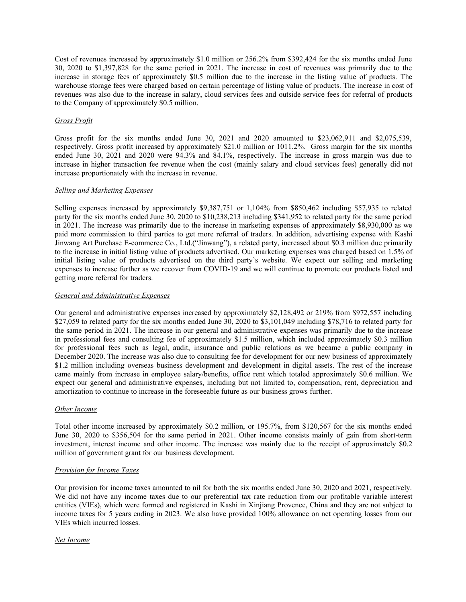Cost of revenues increased by approximately \$1.0 million or 256.2% from \$392,424 for the six months ended June 30, 2020 to \$1,397,828 for the same period in 2021. The increase in costof revenues was primarily due to the increase in storage fees of approximately \$0.5 million due to the increase in the listing value of products. The warehouse storage fees were charged based on certain percentage of listing value of products. The increase in cost of revenues was also due to the increase in salary, cloud services fees and outside service fees for referral of products to the Company of approximately \$0.5 million.

# *Gross Profit*

Gross profit for the six months ended June 30, 2021 and 2020 amounted to \$23,062,911 and \$2,075,539, respectively. Gross profit increased by approximately \$21.0 million or 1011.2%. Gross margin for the six months ended June 30, 2021 and 2020 were 94.3% and 84.1%, respectively. The increase in gross margin was due to increase in higher transaction fee revenue when the cost (mainly salary and cloud services fees) generally did not increase proportionately with the increase in revenue.

# *Selling and Marketing Expenses*

Selling expenses increased by approximately \$9,387,751 or 1,104% from \$850,462 including \$57,935 to related party for the six months ended June 30, 2020 to \$10,238,213 including \$341,952 to related party for the same period in 2021. The increase was primarily due to the increase in marketing expenses of approximately \$8,930,000 as we paid more commission to third parties to get more referral of traders. In addition, advertising expense with Kashi Jinwang Art Purchase E-commerce Co., Ltd.("Jinwang"), a related party, increased about \$0.3 million due primarily to the increase in initial listing value of products advertised. Our marketing expenses was charged based on 1.5% of initial listing value of products advertised on the third party's website. We expect our selling and marketing expenses to increase further as we recover from COVID-19 and we will continue to promote our products listed and getting more referral for traders.

# *General and Administrative Expenses*

Our general and administrative expenses increased by approximately \$2,128,492 or 219% from \$972,557 including \$27,059 to related party for the six months ended June 30, 2020 to \$3,101,049 including \$78,716 to related party for the same period in 2021. The increase in our general and administrative expenses was primarily due to the increase in professional fees and consulting fee of approximately \$1.5 million, which included approximately \$0.3 million for professional fees such as legal, audit, insurance and public relations as we became a public company in December 2020. The increase was also due to consulting fee for development for our new business of approximately \$1.2 million including overseas business development and development in digital assets. The rest of the increase came mainly from increase in employee salary/benefits, office rent which totaled approximately \$0.6 million. We expect our general and administrative expenses, including but not limited to, compensation, rent, depreciation and amortization to continue to increase in the foreseeable future as our business grows further.

#### *Other Income*

Total other income increased by approximately \$0.2 million, or 195.7%, from \$120,567 for the six months ended June 30, 2020 to \$356,504 for the same period in 2021. Other income consists mainly of gain from short-term investment, interest income and other income. The increase was mainly due to the receipt of approximately \$0.2 million of government grant for our business development.

#### *Provision for Income Taxes*

Our provision for income taxes amounted to nil for both the six months ended June 30, 2020 and 2021, respectively. We did not have any income taxes due to our preferential tax rate reduction from our profitable variable interest entities (VIEs), which were formed and registered in Kashi in Xinjiang Provence, China and they are not subject to income taxes for 5 years ending in 2023. We also have provided 100% allowance on net operating losses from our VIEs which incurred losses.

#### *Net Income*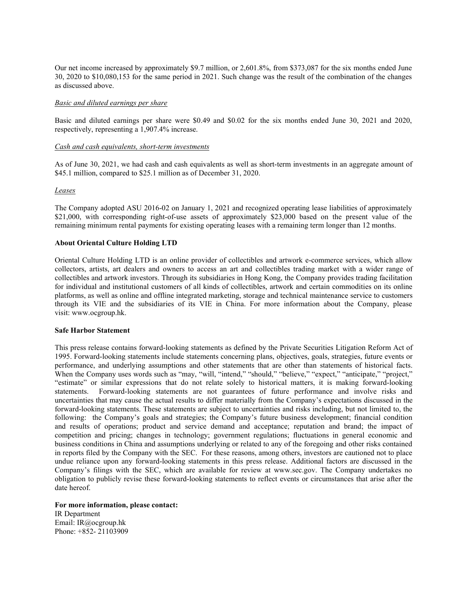Our net income increased by approximately \$9.7 million, or 2,601.8%, from \$373,087 for the six months ended June 30, 2020 to \$10,080,153 for the same period in 2021. Such change was the result of the combination of the changes as discussed above.

#### *Basic and diluted earnings per share*

Basic and diluted earnings per share were \$0.49 and \$0.02 for the six months ended June 30, 2021 and 2020, respectively, representing a 1,907.4% increase.

#### *Cash and cash equivalents, short-term investments*

As of June 30, 2021, we had cash and cash equivalents as well as short-term investments in an aggregate amount of \$45.1 million, compared to \$25.1 million as of December 31, 2020.

#### *Leases*

The Company adopted ASU 2016-02 on January 1, 2021 and recognized operating lease liabilities of approximately \$21,000, with corresponding right-of-use assets of approximately \$23,000 based on the present value of the remaining minimum rental payments for existing operating leases with a remaining term longer than 12 months.

#### **About Oriental Culture Holding LTD**

Oriental Culture Holding LTD is an online provider of collectibles and artwork e-commerce services, which allow collectors, artists, art dealers and owners to access an art and collectibles trading market with a wider range of collectibles and artwork investors. Through its subsidiaries in Hong Kong, the Company provides trading facilitation for individual and institutional customers of all kinds of collectibles, artwork and certain commodities on its online platforms, as well as online and offline integrated marketing, storage and technical maintenance service to customers through its VIE and the subsidiaries of its VIE in China. For more information about the Company, please visit: www.ocgroup.hk.

#### **Safe Harbor Statement**

This press release contains forward-looking statements as defined by the Private Securities Litigation Reform Act of 1995. Forward-looking statements include statements concerning plans, objectives, goals, strategies, future events or performance, and underlying assumptions and other statements that are other than statements of historical facts. When the Company uses words such as "may, "will, "intend," "should," "believe," "expect," "anticipate," "project," "estimate" or similar expressions that do not relate solely to historicalmatters, it is making forward-looking statements. Forward-looking statements are not guarantees of future performance and involve risks and uncertainties that may cause the actual results to differ materially from the Company's expectations discussed in the forward-looking statements. These statements are subject to uncertainties and risks including, but not limited to, the following: the Company's goals and strategies; the Company's future business development; financial condition and results of operations; product and service demand and acceptance; reputation and brand; the impact of competition and pricing; changes in technology; government regulations; fluctuations in general economic and business conditions in China and assumptions underlying or related to any of the foregoing and other risks contained in reports filed by the Company with the SEC. For these reasons, among others, investors are cautioned not to place undue reliance upon any forward-looking statements in this press release. Additional factors are discussed in the Company's filings with the SEC, which are available for review at www.sec.gov. The Company undertakes no obligation to publicly revise these forward-looking statements to reflect events or circumstances that arise after the date hereof.

**For more information, please contact:**

IR Department Email: IR@ocgroup.hk Phone: +852- 21103909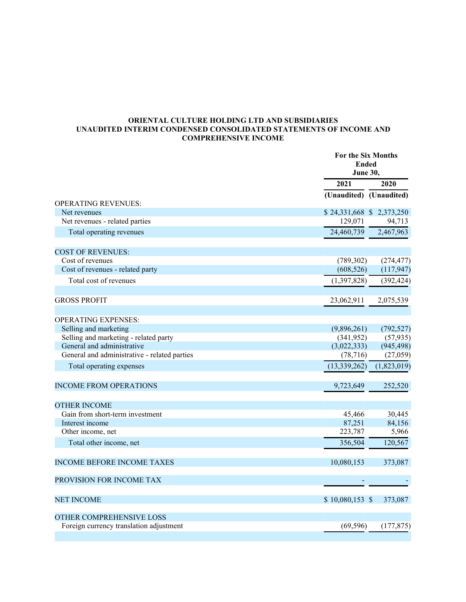# **ORIENTAL CULTURE HOLDING LTD AND SUBSIDIARIES UNAUDITED INTERIM CONDENSED CONSOLIDATED STATEMENTS OF INCOME AND COMPREHENSIVE INCOME**

|                                              | For the Six Months<br><b>Ended</b> |  |  |  |
|----------------------------------------------|------------------------------------|--|--|--|
|                                              | June 30,                           |  |  |  |
|                                              | 2021<br>2020                       |  |  |  |
|                                              | (Unaudited) (Unaudited)            |  |  |  |
| <b>OPERATING REVENUES:</b>                   |                                    |  |  |  |
| Net revenues                                 | \$24,331,668 \$2,373,250           |  |  |  |
| Net revenues - related parties               | 129,071<br>94,713                  |  |  |  |
| Total operating revenues                     | 24,460,739<br>2,467,963            |  |  |  |
| <b>COST OF REVENUES:</b>                     |                                    |  |  |  |
| Cost of revenues                             | (789, 302)<br>(274, 477)           |  |  |  |
| Cost of revenues - related party             | (608, 526)<br>(117, 947)           |  |  |  |
| Total cost of revenues                       | (1,397,828)<br>(392, 424)          |  |  |  |
| <b>GROSS PROFIT</b>                          | 23,062,911<br>2,075,539            |  |  |  |
| <b>OPERATING EXPENSES:</b>                   |                                    |  |  |  |
| Selling and marketing                        | (9,896,261)<br>(792, 527)          |  |  |  |
| Selling and marketing - related party        | (341, 952)<br>(57, 935)            |  |  |  |
| General and administrative                   | (3,022,333)<br>(945, 498)          |  |  |  |
| General and administrative - related parties | (78, 716)<br>(27,059)              |  |  |  |
| Total operating expenses                     | (13, 339, 262)<br>(1,823,019)      |  |  |  |
| <b>INCOME FROM OPERATIONS</b>                | 9,723,649<br>252,520               |  |  |  |
| <b>OTHER INCOME</b>                          |                                    |  |  |  |
| Gain from short-term investment              | 45,466<br>30,445                   |  |  |  |
| Interest income                              | 87,251<br>84,156                   |  |  |  |
| Other income, net                            | 223,787<br>5,966                   |  |  |  |
| Total other income, net                      | 356,504<br>120,567                 |  |  |  |
| <b>INCOME BEFORE INCOME TAXES</b>            | 10,080,153<br>373,087              |  |  |  |
| PROVISION FOR INCOME TAX                     |                                    |  |  |  |
| <b>NET INCOME</b>                            | $$10,080,153$ \$<br>373,087        |  |  |  |
|                                              |                                    |  |  |  |
| OTHER COMPREHENSIVE LOSS                     |                                    |  |  |  |
| Foreign currency translation adjustment      | (69, 596)<br>(177, 875)            |  |  |  |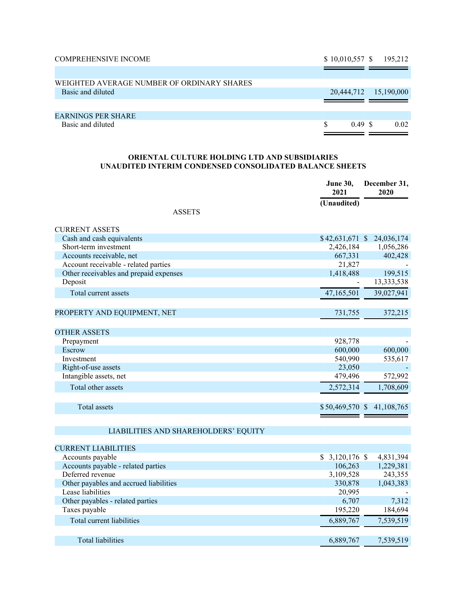| <b>COMPREHENSIVE INCOME</b>                | $$10,010,557$ \$ 195,212 |
|--------------------------------------------|--------------------------|
|                                            |                          |
| WEIGHTED AVERAGE NUMBER OF ORDINARY SHARES |                          |
| Basic and diluted                          | 15,190,000<br>20,444,712 |
|                                            |                          |
| EARNINGS PER SHARE                         |                          |
| Basic and diluted                          | $0.49 \text{ s}$<br>0.02 |
|                                            |                          |

# **ORIENTAL CULTURE HOLDING LTD AND SUBSIDIARIES UNAUDITED INTERIM CONDENSED CONSOLIDATED BALANCE SHEETS**

|                                        | <b>June 30,</b><br>2021 | December 31,<br>2020      |  |
|----------------------------------------|-------------------------|---------------------------|--|
| <b>ASSETS</b>                          | (Unaudited)             |                           |  |
| <b>CURRENT ASSETS</b>                  |                         |                           |  |
| Cash and cash equivalents              | $$42,631,671$ \$        | 24,036,174                |  |
| Short-term investment                  | 2,426,184               | 1,056,286                 |  |
| Accounts receivable, net               | 667,331                 | 402,428                   |  |
| Account receivable - related parties   | 21,827                  |                           |  |
| Other receivables and prepaid expenses | 1,418,488               | 199,515                   |  |
| Deposit                                |                         | 13,333,538                |  |
| Total current assets                   | 47,165,501              | 39,027,941                |  |
| PROPERTY AND EQUIPMENT, NET            | 731,755                 | 372,215                   |  |
|                                        |                         |                           |  |
| <b>OTHER ASSETS</b>                    |                         |                           |  |
| Prepayment                             | 928,778                 |                           |  |
| Escrow                                 | 600,000                 | 600,000                   |  |
| Investment                             | 540,990                 | 535,617                   |  |
| Right-of-use assets                    | 23,050                  |                           |  |
| Intangible assets, net                 | 479,496                 | 572,992                   |  |
| Total other assets                     | 2,572,314               | 1,708,609                 |  |
| <b>Total</b> assets                    |                         | \$50,469,570 \$41,108,765 |  |
|                                        |                         |                           |  |
| LIABILITIES AND SHAREHOLDERS' EQUITY   |                         |                           |  |
| <b>CURRENT LIABILITIES</b>             |                         |                           |  |
| Accounts payable                       | $$3,120,176$ \$         | 4,831,394                 |  |
| Accounts payable - related parties     | 106,263                 | 1,229,381                 |  |
| Deferred revenue                       | 3,109,528               | 243,355                   |  |
| Other payables and accrued liabilities | 330,878                 | 1,043,383                 |  |
| Lease liabilities                      | 20,995                  |                           |  |
| Other payables - related parties       | 6,707                   | 7,312                     |  |
| Taxes payable                          | 195,220                 | 184,694                   |  |
| Total current liabilities              | 6,889,767               | 7,539,519                 |  |
| <b>Total liabilities</b>               | 6,889,767               | 7,539,519                 |  |